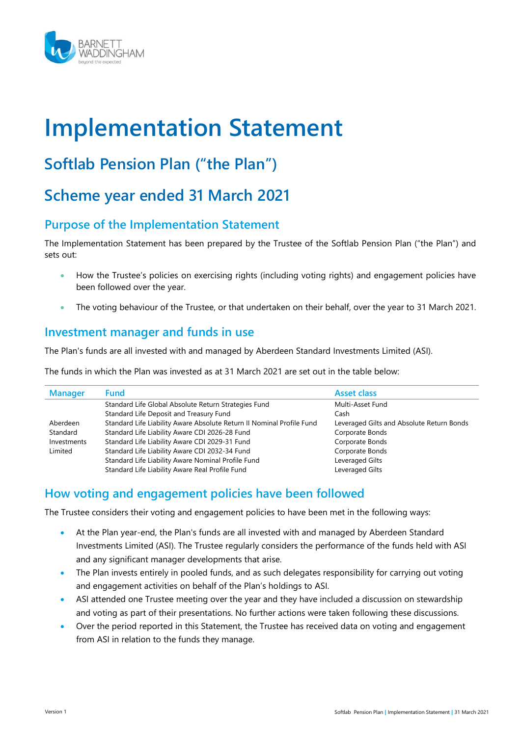

# Implementation Statement

# Softlab Pension Plan ("the Plan")

# Scheme year ended 31 March 2021

# Purpose of the Implementation Statement

The Implementation Statement has been prepared by the Trustee of the Softlab Pension Plan ("the Plan") and sets out:

- How the Trustee's policies on exercising rights (including voting rights) and engagement policies have been followed over the year.
- The voting behaviour of the Trustee, or that undertaken on their behalf, over the year to 31 March 2021.

# Investment manager and funds in use

The Plan's funds are all invested with and managed by Aberdeen Standard Investments Limited (ASI).

The funds in which the Plan was invested as at 31 March 2021 are set out in the table below:

| <b>Manager</b> | <b>Fund</b>                                                           | <b>Asset class</b>                        |
|----------------|-----------------------------------------------------------------------|-------------------------------------------|
|                | Standard Life Global Absolute Return Strategies Fund                  | Multi-Asset Fund                          |
|                | Standard Life Deposit and Treasury Fund                               | Cash                                      |
| Aberdeen       | Standard Life Liability Aware Absolute Return II Nominal Profile Fund | Leveraged Gilts and Absolute Return Bonds |
| Standard       | Standard Life Liability Aware CDI 2026-28 Fund                        | Corporate Bonds                           |
| Investments    | Standard Life Liability Aware CDI 2029-31 Fund                        | Corporate Bonds                           |
| Limited        | Standard Life Liability Aware CDI 2032-34 Fund                        | Corporate Bonds                           |
|                | Standard Life Liability Aware Nominal Profile Fund                    | Leveraged Gilts                           |
|                | Standard Life Liability Aware Real Profile Fund                       | Leveraged Gilts                           |

# How voting and engagement policies have been followed

The Trustee considers their voting and engagement policies to have been met in the following ways:

- At the Plan year-end, the Plan's funds are all invested with and managed by Aberdeen Standard Investments Limited (ASI). The Trustee regularly considers the performance of the funds held with ASI and any significant manager developments that arise.
- The Plan invests entirely in pooled funds, and as such delegates responsibility for carrying out voting and engagement activities on behalf of the Plan's holdings to ASI.
- ASI attended one Trustee meeting over the year and they have included a discussion on stewardship and voting as part of their presentations. No further actions were taken following these discussions.
- Over the period reported in this Statement, the Trustee has received data on voting and engagement from ASI in relation to the funds they manage.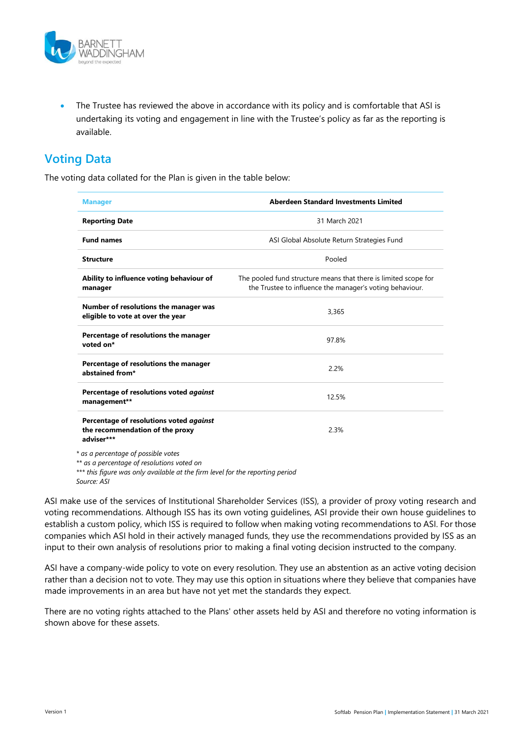

 The Trustee has reviewed the above in accordance with its policy and is comfortable that ASI is undertaking its voting and engagement in line with the Trustee's policy as far as the reporting is available.

# Voting Data

The voting data collated for the Plan is given in the table below:

| <b>Manager</b>                                                                           | Aberdeen Standard Investments Limited                                                                                       |
|------------------------------------------------------------------------------------------|-----------------------------------------------------------------------------------------------------------------------------|
| <b>Reporting Date</b>                                                                    | 31 March 2021                                                                                                               |
| <b>Fund names</b>                                                                        | ASI Global Absolute Return Strategies Fund                                                                                  |
| <b>Structure</b>                                                                         | Pooled                                                                                                                      |
| Ability to influence voting behaviour of<br>manager                                      | The pooled fund structure means that there is limited scope for<br>the Trustee to influence the manager's voting behaviour. |
| Number of resolutions the manager was<br>eligible to vote at over the year               | 3,365                                                                                                                       |
| Percentage of resolutions the manager<br>voted on*                                       | 97.8%                                                                                                                       |
| Percentage of resolutions the manager<br>abstained from*                                 | 2.2%                                                                                                                        |
| Percentage of resolutions voted against<br>management**                                  | 12.5%                                                                                                                       |
| Percentage of resolutions voted against<br>the recommendation of the proxy<br>adviser*** | 2.3%                                                                                                                        |
| * as a percentage of possible votes<br>** as a norsentage of resolutions upted on        |                                                                                                                             |

as a percentage of resolutions voted on

\*\*\* this figure was only available at the firm level for the reporting period Source: ASI

ASI make use of the services of Institutional Shareholder Services (ISS), a provider of proxy voting research and voting recommendations. Although ISS has its own voting guidelines, ASI provide their own house guidelines to establish a custom policy, which ISS is required to follow when making voting recommendations to ASI. For those companies which ASI hold in their actively managed funds, they use the recommendations provided by ISS as an input to their own analysis of resolutions prior to making a final voting decision instructed to the company.

ASI have a company-wide policy to vote on every resolution. They use an abstention as an active voting decision rather than a decision not to vote. They may use this option in situations where they believe that companies have made improvements in an area but have not yet met the standards they expect.

There are no voting rights attached to the Plans' other assets held by ASI and therefore no voting information is shown above for these assets.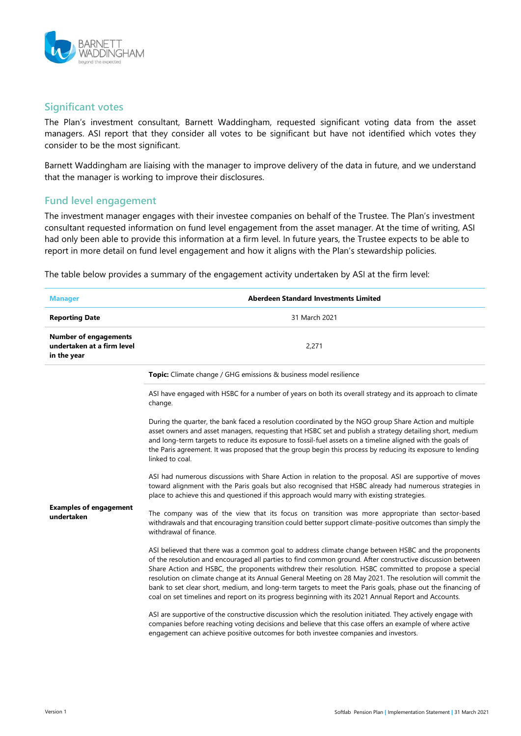

#### Significant votes

The Plan's investment consultant, Barnett Waddingham, requested significant voting data from the asset managers. ASI report that they consider all votes to be significant but have not identified which votes they consider to be the most significant.

Barnett Waddingham are liaising with the manager to improve delivery of the data in future, and we understand that the manager is working to improve their disclosures.

#### Fund level engagement

The investment manager engages with their investee companies on behalf of the Trustee. The Plan's investment consultant requested information on fund level engagement from the asset manager. At the time of writing, ASI had only been able to provide this information at a firm level. In future years, the Trustee expects to be able to report in more detail on fund level engagement and how it aligns with the Plan's stewardship policies.

The table below provides a summary of the engagement activity undertaken by ASI at the firm level:

| <b>Manager</b>                                                            | Aberdeen Standard Investments Limited                                                                                                                                                                                                                                                                                                                                                                                                                                                                                                                                                                                                                       |  |
|---------------------------------------------------------------------------|-------------------------------------------------------------------------------------------------------------------------------------------------------------------------------------------------------------------------------------------------------------------------------------------------------------------------------------------------------------------------------------------------------------------------------------------------------------------------------------------------------------------------------------------------------------------------------------------------------------------------------------------------------------|--|
| <b>Reporting Date</b>                                                     | 31 March 2021                                                                                                                                                                                                                                                                                                                                                                                                                                                                                                                                                                                                                                               |  |
| <b>Number of engagements</b><br>undertaken at a firm level<br>in the year | 2,271                                                                                                                                                                                                                                                                                                                                                                                                                                                                                                                                                                                                                                                       |  |
|                                                                           | Topic: Climate change / GHG emissions & business model resilience                                                                                                                                                                                                                                                                                                                                                                                                                                                                                                                                                                                           |  |
|                                                                           | ASI have engaged with HSBC for a number of years on both its overall strategy and its approach to climate<br>change.                                                                                                                                                                                                                                                                                                                                                                                                                                                                                                                                        |  |
|                                                                           | During the quarter, the bank faced a resolution coordinated by the NGO group Share Action and multiple<br>asset owners and asset managers, requesting that HSBC set and publish a strategy detailing short, medium<br>and long-term targets to reduce its exposure to fossil-fuel assets on a timeline aligned with the goals of<br>the Paris agreement. It was proposed that the group begin this process by reducing its exposure to lending<br>linked to coal.                                                                                                                                                                                           |  |
|                                                                           | ASI had numerous discussions with Share Action in relation to the proposal. ASI are supportive of moves<br>toward alignment with the Paris goals but also recognised that HSBC already had numerous strategies in<br>place to achieve this and questioned if this approach would marry with existing strategies.                                                                                                                                                                                                                                                                                                                                            |  |
| <b>Examples of engagement</b><br>undertaken                               | The company was of the view that its focus on transition was more appropriate than sector-based<br>withdrawals and that encouraging transition could better support climate-positive outcomes than simply the<br>withdrawal of finance.                                                                                                                                                                                                                                                                                                                                                                                                                     |  |
|                                                                           | ASI believed that there was a common goal to address climate change between HSBC and the proponents<br>of the resolution and encouraged all parties to find common ground. After constructive discussion between<br>Share Action and HSBC, the proponents withdrew their resolution. HSBC committed to propose a special<br>resolution on climate change at its Annual General Meeting on 28 May 2021. The resolution will commit the<br>bank to set clear short, medium, and long-term targets to meet the Paris goals, phase out the financing of<br>coal on set timelines and report on its progress beginning with its 2021 Annual Report and Accounts. |  |
|                                                                           | ASI are supportive of the constructive discussion which the resolution initiated. They actively engage with<br>companies before reaching voting decisions and believe that this case offers an example of where active<br>engagement can achieve positive outcomes for both investee companies and investors.                                                                                                                                                                                                                                                                                                                                               |  |